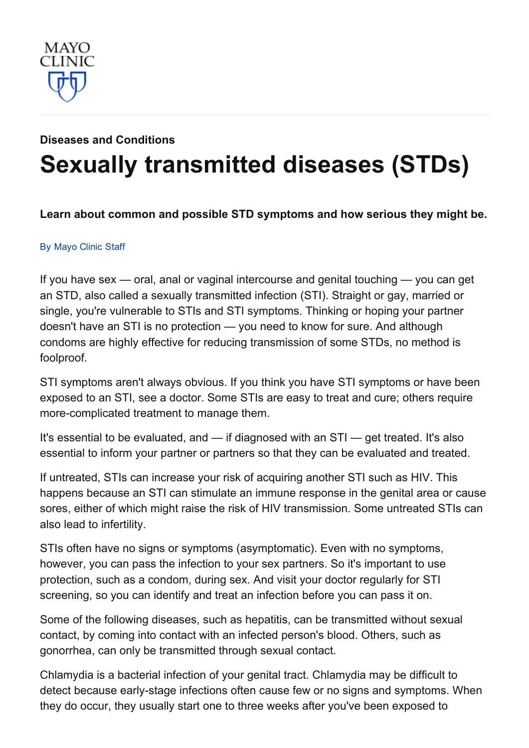

# Diseases and [Conditions](http://www.mayoclinic.org/diseases-conditions) Sexually [transmitted](http://www.mayoclinic.org/diseases-conditions/sexually-transmitted-diseases-stds/basics/definition/con-20034128) diseases (STDs)

#### Learn about common and possible STD symptoms and how serious they might be.

#### By [Mayo](http://www.mayoclinic.org/about-this-site/welcome) Clinic Staff

If you have sex — oral, anal or vaginal intercourse and genital touching — you can get an STD, also called a sexually transmitted infection (STI). Straight or gay, married or single, you're vulnerable to STIs and STI symptoms. Thinking or hoping your partner doesn't have an STI is no protection — you need to know for sure. And although condoms are highly effective for reducing transmission of some STDs, no method is foolproof.

STI symptoms aren't always obvious. If you think you have STI symptoms or have been exposed to an STI, see a doctor. Some STIs are easy to treat and cure; others require more-complicated treatment to manage them.

It's essential to be evaluated, and — if diagnosed with an STI — get treated. It's also essential to inform your partner or partners so that they can be evaluated and treated.

If untreated, STIs can increase your risk of acquiring another STI such as HIV. This happens because an STI can stimulate an immune response in the genital area or cause sores, either of which might raise the risk of HIV transmission. Some untreated STIs can also lead to infertility.

STIs often have no signs or symptoms (asymptomatic). Even with no symptoms, however, you can pass the infection to your sex partners. So it's important to use protection, such as a condom, during sex. And visit your doctor regularly for STI screening, so you can identify and treat an infection before you can pass it on.

Some of the following diseases, such as hepatitis, can be transmitted without sexual contact, by coming into contact with an infected person's blood. Others, such as gonorrhea, can only be transmitted through sexual contact.

Chlamydia is a bacterial infection of your genital tract. Chlamydia may be difficult to detect because early-stage infections often cause few or no signs and symptoms. When they do occur, they usually start one to three weeks after you've been exposed to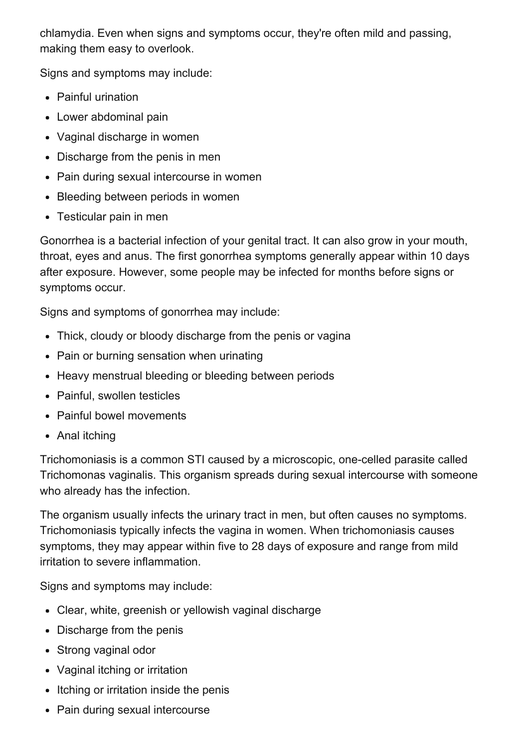chlamydia. Even when signs and symptoms occur, they're often mild and passing, making them easy to overlook.

Signs and symptoms may include:

- Painful urination
- Lower abdominal pain
- Vaginal discharge in women
- Discharge from the penis in men
- Pain during sexual intercourse in women
- Bleeding between periods in women
- Testicular pain in men

Gonorrhea is a bacterial infection of your genital tract. It can also grow in your mouth, throat, eyes and anus. The first gonorrhea symptoms generally appear within 10 days after exposure. However, some people may be infected for months before signs or symptoms occur.

Signs and symptoms of gonorrhea may include:

- Thick, cloudy or bloody discharge from the penis or vagina
- Pain or burning sensation when urinating
- Heavy menstrual bleeding or bleeding between periods
- Painful, swollen testicles
- Painful bowel movements
- Anal itching

Trichomoniasis is a common STI caused by a microscopic, onecelled parasite called Trichomonas vaginalis. This organism spreads during sexual intercourse with someone who already has the infection.

The organism usually infects the urinary tract in men, but often causes no symptoms. Trichomoniasis typically infects the vagina in women. When trichomoniasis causes symptoms, they may appear within five to 28 days of exposure and range from mild irritation to severe inflammation.

Signs and symptoms may include:

- Clear, white, greenish or yellowish vaginal discharge
- Discharge from the penis
- Strong vaginal odor
- Vaginal itching or irritation
- Itching or irritation inside the penis
- Pain during sexual intercourse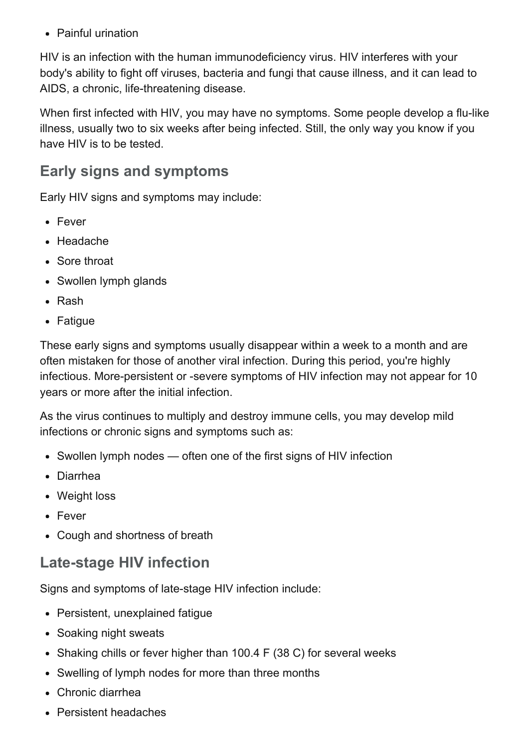• Painful urination

HIV is an infection with the human immunodeficiency virus. HIV interferes with your body's ability to fight off viruses, bacteria and fungi that cause illness, and it can lead to AIDS, a chronic, life-threatening disease.

When first infected with HIV, you may have no symptoms. Some people develop a flu-like illness, usually two to six weeks after being infected. Still, the only way you know if you have HIV is to be tested.

### Early signs and symptoms

Early HIV signs and symptoms may include:

- Fever
- Headache
- Sore throat
- Swollen lymph glands
- Rash
- Fatique

These early signs and symptoms usually disappear within a week to a month and are often mistaken for those of another viral infection. During this period, you're highly infectious. More-persistent or -severe symptoms of HIV infection may not appear for 10 years or more after the initial infection.

As the virus continues to multiply and destroy immune cells, you may develop mild infections or chronic signs and symptoms such as:

- Swollen lymph nodes often one of the first signs of HIV infection
- Diarrhea
- Weight loss
- Fever
- Cough and shortness of breath

### Late-stage HIV infection

Signs and symptoms of late-stage HIV infection include:

- Persistent, unexplained fatigue
- Soaking night sweats
- Shaking chills or fever higher than 100.4 F (38 C) for several weeks
- Swelling of lymph nodes for more than three months
- Chronic diarrhea
- Persistent headaches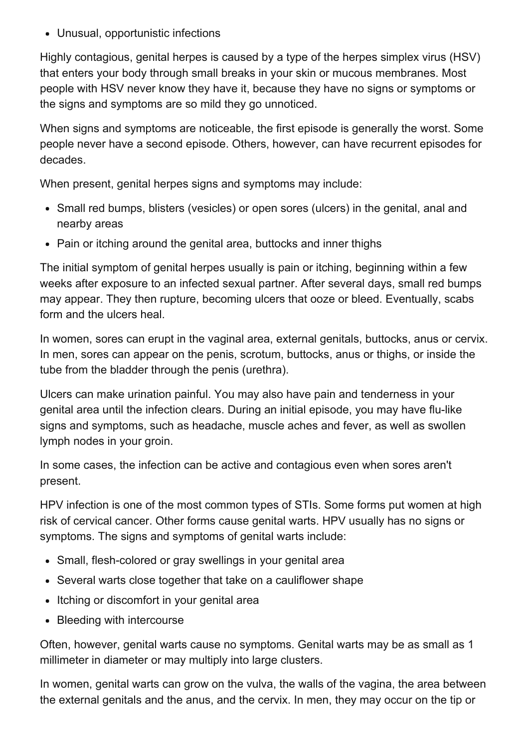Unusual, opportunistic infections

Highly contagious, genital herpes is caused by a type of the herpes simplex virus (HSV) that enters your body through small breaks in your skin or mucous membranes. Most people with HSV never know they have it, because they have no signs or symptoms or the signs and symptoms are so mild they go unnoticed.

When signs and symptoms are noticeable, the first episode is generally the worst. Some people never have a second episode. Others, however, can have recurrent episodes for decades.

When present, genital herpes signs and symptoms may include:

- Small red bumps, blisters (vesicles) or open sores (ulcers) in the genital, anal and nearby areas
- Pain or itching around the genital area, buttocks and inner thighs

The initial symptom of genital herpes usually is pain or itching, beginning within a few weeks after exposure to an infected sexual partner. After several days, small red bumps may appear. They then rupture, becoming ulcers that ooze or bleed. Eventually, scabs form and the ulcers heal.

In women, sores can erupt in the vaginal area, external genitals, buttocks, anus or cervix. In men, sores can appear on the penis, scrotum, buttocks, anus or thighs, or inside the tube from the bladder through the penis (urethra).

Ulcers can make urination painful. You may also have pain and tenderness in your genital area until the infection clears. During an initial episode, you may have flulike signs and symptoms, such as headache, muscle aches and fever, as well as swollen lymph nodes in your groin.

In some cases, the infection can be active and contagious even when sores aren't present.

HPV infection is one of the most common types of STIs. Some forms put women at high risk of cervical cancer. Other forms cause genital warts. HPV usually has no signs or symptoms. The signs and symptoms of genital warts include:

- Small, flesh-colored or gray swellings in your genital area
- Several warts close together that take on a cauliflower shape
- Itching or discomfort in your genital area
- Bleeding with intercourse

Often, however, genital warts cause no symptoms. Genital warts may be as small as 1 millimeter in diameter or may multiply into large clusters.

In women, genital warts can grow on the vulva, the walls of the vagina, the area between the external genitals and the anus, and the cervix. In men, they may occur on the tip or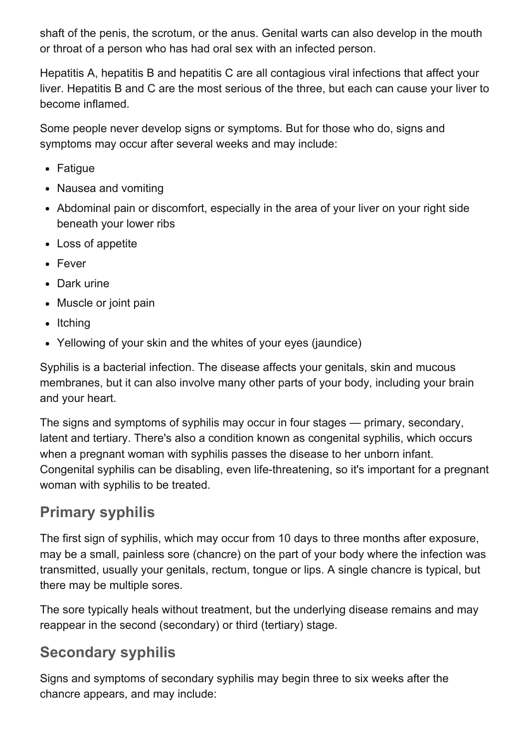shaft of the penis, the scrotum, or the anus. Genital warts can also develop in the mouth or throat of a person who has had oral sex with an infected person.

Hepatitis A, hepatitis B and hepatitis C are all contagious viral infections that affect your liver. Hepatitis B and C are the most serious of the three, but each can cause your liver to become inflamed.

Some people never develop signs or symptoms. But for those who do, signs and symptoms may occur after several weeks and may include:

- Fatigue
- Nausea and vomiting
- Abdominal pain or discomfort, especially in the area of your liver on your right side beneath your lower ribs
- Loss of appetite
- Fever
- Dark urine
- Muscle or joint pain
- $\bullet$  Itching
- Yellowing of your skin and the whites of your eyes (jaundice)

Syphilis is a bacterial infection. The disease affects your genitals, skin and mucous membranes, but it can also involve many other parts of your body, including your brain and your heart.

The signs and symptoms of syphilis may occur in four stages — primary, secondary, latent and tertiary. There's also a condition known as congenital syphilis, which occurs when a pregnant woman with syphilis passes the disease to her unborn infant. Congenital syphilis can be disabling, even life-threatening, so it's important for a pregnant woman with syphilis to be treated.

### Primary syphilis

The first sign of syphilis, which may occur from 10 days to three months after exposure, may be a small, painless sore (chancre) on the part of your body where the infection was transmitted, usually your genitals, rectum, tongue or lips. A single chancre is typical, but there may be multiple sores.

The sore typically heals without treatment, but the underlying disease remains and may reappear in the second (secondary) or third (tertiary) stage.

### Secondary syphilis

Signs and symptoms of secondary syphilis may begin three to six weeks after the chancre appears, and may include: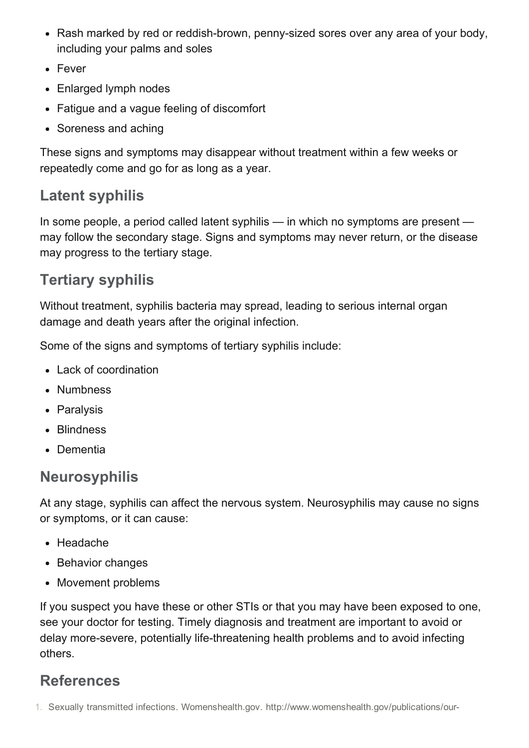- Rash marked by red or reddish-brown, penny-sized sores over any area of your body, including your palms and soles
- Fever
- Enlarged lymph nodes
- Fatigue and a vague feeling of discomfort
- Soreness and aching

These signs and symptoms may disappear without treatment within a few weeks or repeatedly come and go for as long as a year.

# Latent syphilis

In some people, a period called latent syphilis — in which no symptoms are present may follow the secondary stage. Signs and symptoms may never return, or the disease may progress to the tertiary stage.

## Tertiary syphilis

Without treatment, syphilis bacteria may spread, leading to serious internal organ damage and death years after the original infection.

Some of the signs and symptoms of tertiary syphilis include:

- Lack of coordination
- Numbness
- Paralysis
- Blindness
- Dementia

# Neurosyphilis

At any stage, syphilis can affect the nervous system. Neurosyphilis may cause no signs or symptoms, or it can cause:

- Headache
- Behavior changes
- Movement problems

If you suspect you have these or other STIs or that you may have been exposed to one, see your doctor for testing. Timely diagnosis and treatment are important to avoid or delay more-severe, potentially life-threatening health problems and to avoid infecting others.

# References